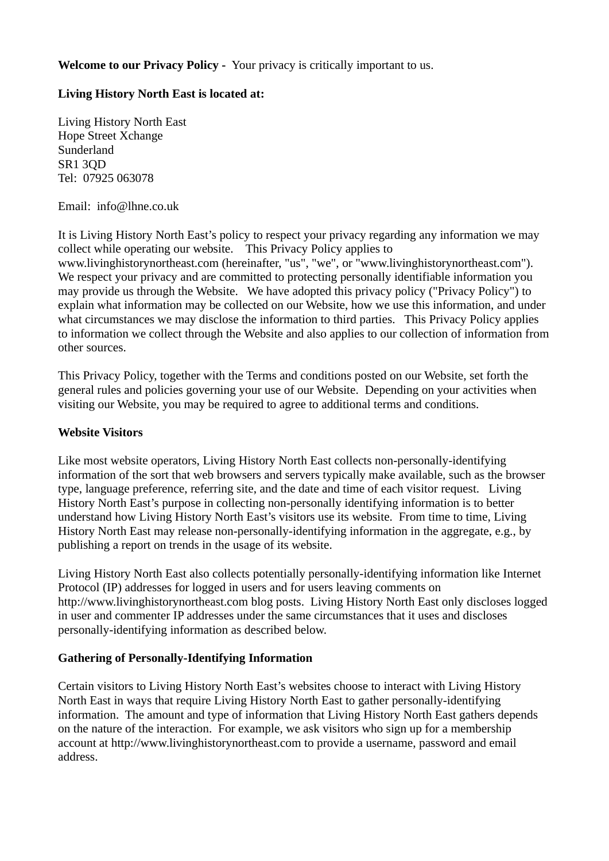## **Welcome to our Privacy Policy -** Your privacy is critically important to us.

# **Living History North East is located at:**

Living History North East Hope Street Xchange Sunderland SR1 3QD Tel: 07925 063078

Email: info@lhne.co.uk

It is Living History North East's policy to respect your privacy regarding any information we may collect while operating our website. This Privacy Policy applies to

www.livinghistorynortheast.com (hereinafter, "us", "we", or "www.livinghistorynortheast.com"). We respect your privacy and are committed to protecting personally identifiable information you may provide us through the Website. We have adopted this privacy policy ("Privacy Policy") to explain what information may be collected on our Website, how we use this information, and under what circumstances we may disclose the information to third parties. This Privacy Policy applies to information we collect through the Website and also applies to our collection of information from other sources.

This Privacy Policy, together with the Terms and conditions posted on our Website, set forth the general rules and policies governing your use of our Website. Depending on your activities when visiting our Website, you may be required to agree to additional terms and conditions.

### **Website Visitors**

Like most website operators, Living History North East collects non-personally-identifying information of the sort that web browsers and servers typically make available, such as the browser type, language preference, referring site, and the date and time of each visitor request. Living History North East's purpose in collecting non-personally identifying information is to better understand how Living History North East's visitors use its website. From time to time, Living History North East may release non-personally-identifying information in the aggregate, e.g., by publishing a report on trends in the usage of its website.

Living History North East also collects potentially personally-identifying information like Internet Protocol (IP) addresses for logged in users and for users leaving comments on http://www.livinghistorynortheast.com blog posts. Living History North East only discloses logged in user and commenter IP addresses under the same circumstances that it uses and discloses personally-identifying information as described below.

### **Gathering of Personally-Identifying Information**

Certain visitors to Living History North East's websites choose to interact with Living History North East in ways that require Living History North East to gather personally-identifying information. The amount and type of information that Living History North East gathers depends on the nature of the interaction. For example, we ask visitors who sign up for a membership account at http://www.livinghistorynortheast.com to provide a username, password and email address.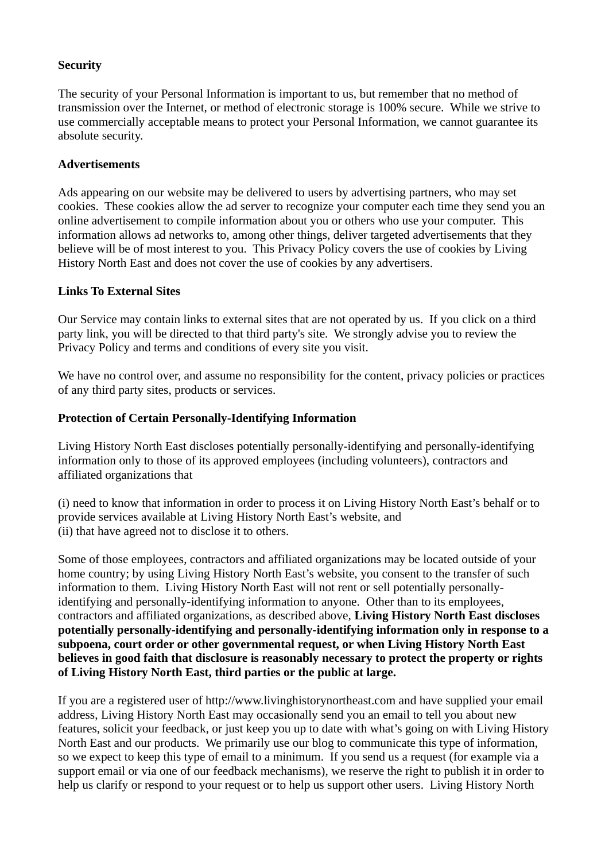# **Security**

The security of your Personal Information is important to us, but remember that no method of transmission over the Internet, or method of electronic storage is 100% secure. While we strive to use commercially acceptable means to protect your Personal Information, we cannot guarantee its absolute security.

### **Advertisements**

Ads appearing on our website may be delivered to users by advertising partners, who may set cookies. These cookies allow the ad server to recognize your computer each time they send you an online advertisement to compile information about you or others who use your computer. This information allows ad networks to, among other things, deliver targeted advertisements that they believe will be of most interest to you. This Privacy Policy covers the use of cookies by Living History North East and does not cover the use of cookies by any advertisers.

### **Links To External Sites**

Our Service may contain links to external sites that are not operated by us. If you click on a third party link, you will be directed to that third party's site. We strongly advise you to review the Privacy Policy and terms and conditions of every site you visit.

We have no control over, and assume no responsibility for the content, privacy policies or practices of any third party sites, products or services.

### **Protection of Certain Personally-Identifying Information**

Living History North East discloses potentially personally-identifying and personally-identifying information only to those of its approved employees (including volunteers), contractors and affiliated organizations that

(i) need to know that information in order to process it on Living History North East's behalf or to provide services available at Living History North East's website, and (ii) that have agreed not to disclose it to others.

Some of those employees, contractors and affiliated organizations may be located outside of your home country; by using Living History North East's website, you consent to the transfer of such information to them. Living History North East will not rent or sell potentially personallyidentifying and personally-identifying information to anyone. Other than to its employees, contractors and affiliated organizations, as described above, **Living History North East discloses potentially personally-identifying and personally-identifying information only in response to a subpoena, court order or other governmental request, or when Living History North East believes in good faith that disclosure is reasonably necessary to protect the property or rights of Living History North East, third parties or the public at large.**

If you are a registered user of http://www.livinghistorynortheast.com and have supplied your email address, Living History North East may occasionally send you an email to tell you about new features, solicit your feedback, or just keep you up to date with what's going on with Living History North East and our products. We primarily use our blog to communicate this type of information, so we expect to keep this type of email to a minimum. If you send us a request (for example via a support email or via one of our feedback mechanisms), we reserve the right to publish it in order to help us clarify or respond to your request or to help us support other users. Living History North